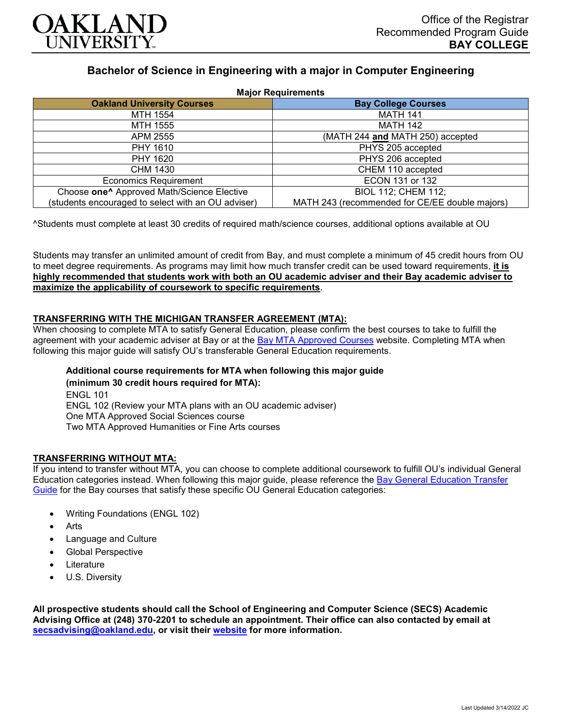

# **Bachelor of Science in Engineering with a major in Computer Engineering**

| <b>Major Requirements</b>                              |                                                |
|--------------------------------------------------------|------------------------------------------------|
| <b>Oakland University Courses</b>                      | <b>Bay College Courses</b>                     |
| MTH 1554                                               | <b>MATH 141</b>                                |
| MTH 1555                                               | MATH 142                                       |
| APM 2555                                               | (MATH 244 and MATH 250) accepted               |
| <b>PHY 1610</b>                                        | PHYS 205 accepted                              |
| PHY 1620                                               | PHYS 206 accepted                              |
| CHM 1430                                               | CHEM 110 accepted                              |
| <b>Economics Requirement</b>                           | ECON 131 or 132                                |
| Choose one <sup>^</sup> Approved Math/Science Elective | <b>BIOL 112; CHEM 112;</b>                     |
| (students encouraged to select with an OU adviser)     | MATH 243 (recommended for CE/EE double majors) |

^Students must complete at least 30 credits of required math/science courses, additional options available at OU

Students may transfer an unlimited amount of credit from Bay, and must complete a minimum of 45 credit hours from OU to meet degree requirements. As programs may limit how much transfer credit can be used toward requirements, **it is highly recommended that students work with both an OU academic adviser and their Bay academic adviser to maximize the applicability of coursework to specific requirements**.

## **TRANSFERRING WITH THE MICHIGAN TRANSFER AGREEMENT (MTA):**

When choosing to complete MTA to satisfy General Education, please confirm the best courses to take to fulfill the agreement with your academic adviser at Bay or at the **[Bay MTA Approved Courses](https://www.baycollege.edu/admissions/transfer/transfer-agreements.php)** website. Completing MTA when following this major guide will satisfy OU's transferable General Education requirements.

## **Additional course requirements for MTA when following this major guide (minimum 30 credit hours required for MTA):**

ENGL 101 ENGL 102 (Review your MTA plans with an OU academic adviser) One MTA Approved Social Sciences course Two MTA Approved Humanities or Fine Arts courses

## **TRANSFERRING WITHOUT MTA:**

If you intend to transfer without MTA, you can choose to complete additional coursework to fulfill OU's individual General Education categories instead. When following this major guide, please reference the [Bay General Education Transfer](https://www.oakland.edu/Assets/Oakland/program-guides/bay-college/university-general-education-requirements/Bay%20Gen%20Ed.pdf)  [Guide](https://www.oakland.edu/Assets/Oakland/program-guides/bay-college/university-general-education-requirements/Bay%20Gen%20Ed.pdf) for the Bay courses that satisfy these specific OU General Education categories:

- Writing Foundations (ENGL 102)
- **Arts**
- Language and Culture
- Global Perspective
- **Literature**
- U.S. Diversity

**All prospective students should call the School of Engineering and Computer Science (SECS) Academic Advising Office at (248) 370-2201 to schedule an appointment. Their office can also contacted by email at [secsadvising@oakland.edu,](mailto:secsadvising@oakland.edu) or visit their [website](https://wwwp.oakland.edu/secs/advising/) for more information.**